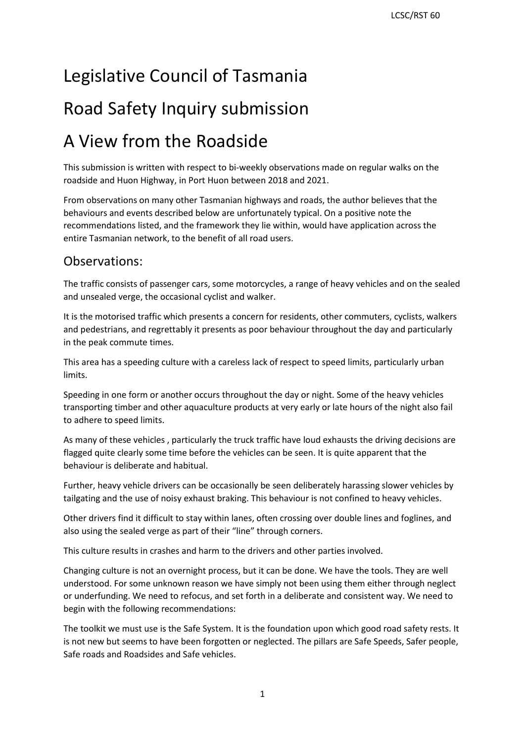# Legislative Council of Tasmania

# Road Safety Inquiry submission

# A View from the Roadside

 This submission is written with respect to bi-weekly observations made on regular walks on the roadside and Huon Highway, in Port Huon between 2018 and 2021.

 behaviours and events described below are unfortunately typical. On a positive note the From observations on many other Tasmanian highways and roads, the author believes that the recommendations listed, and the framework they lie within, would have application across the entire Tasmanian network, to the benefit of all road users.

### Observations:

The traffic consists of passenger cars, some motorcycles, a range of heavy vehicles and on the sealed and unsealed verge, the occasional cyclist and walker.

 in the peak commute times. It is the motorised traffic which presents a concern for residents, other commuters, cyclists, walkers and pedestrians, and regrettably it presents as poor behaviour throughout the day and particularly

 This area has a speeding culture with a careless lack of respect to speed limits, particularly urban limits.

 Speeding in one form or another occurs throughout the day or night. Some of the heavy vehicles transporting timber and other aquaculture products at very early or late hours of the night also fail to adhere to speed limits.

As many of these vehicles , particularly the truck traffic have loud exhausts the driving decisions are flagged quite clearly some time before the vehicles can be seen. It is quite apparent that the behaviour is deliberate and habitual.

 Further, heavy vehicle drivers can be occasionally be seen deliberately harassing slower vehicles by tailgating and the use of noisy exhaust braking. This behaviour is not confined to heavy vehicles.

 Other drivers find it difficult to stay within lanes, often crossing over double lines and foglines, and also using the sealed verge as part of their "line" through corners.

also using the sealed verge as part of their "line" through corners.<br>This culture results in crashes and harm to the drivers and other parties involved.

 or underfunding. We need to refocus, and set forth in a deliberate and consistent way. We need to Changing culture is not an overnight process, but it can be done. We have the tools. They are well understood. For some unknown reason we have simply not been using them either through neglect begin with the following recommendations:

 The toolkit we must use is the Safe System. It is the foundation upon which good road safety rests. It is not new but seems to have been forgotten or neglected. The pillars are Safe Speeds, Safer people, Safe roads and Roadsides and Safe vehicles.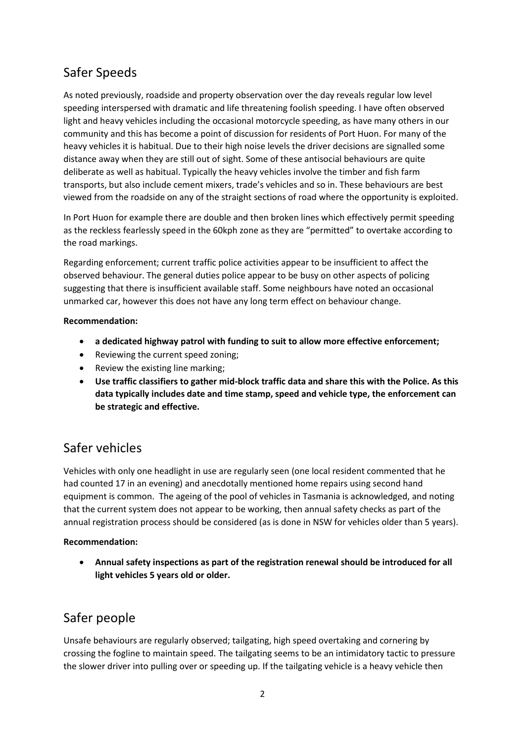## Safer Speeds

 speeding interspersed with dramatic and life threatening foolish speeding. I have often observed As noted previously, roadside and property observation over the day reveals regular low level light and heavy vehicles including the occasional motorcycle speeding, as have many others in our community and this has become a point of discussion for residents of Port Huon. For many of the heavy vehicles it is habitual. Due to their high noise levels the driver decisions are signalled some distance away when they are still out of sight. Some of these antisocial behaviours are quite deliberate as well as habitual. Typically the heavy vehicles involve the timber and fish farm transports, but also include cement mixers, trade's vehicles and so in. These behaviours are best viewed from the roadside on any of the straight sections of road where the opportunity is exploited.

In Port Huon for example there are double and then broken lines which effectively permit speeding as the reckless fearlessly speed in the 60kph zone as they are "permitted" to overtake according to the road markings.

 unmarked car, however this does not have any long term effect on behaviour change. Regarding enforcement; current traffic police activities appear to be insufficient to affect the observed behaviour. The general duties police appear to be busy on other aspects of policing suggesting that there is insufficient available staff. Some neighbours have noted an occasional

#### **Recommendation:**

- **a dedicated highway patrol with funding to suit to allow more effective enforcement;**
- Reviewing the current speed zoning;
- Review the existing line marking;
- **Use traffic classifiers to gather mid-block traffic data and share this with the Police. As this data typically includes date and time stamp, speed and vehicle type, the enforcement can be strategic and effective.**

## Safer vehicles

 had counted 17 in an evening) and anecdotally mentioned home repairs using second hand equipment is common. The ageing of the pool of vehicles in Tasmania is acknowledged, and noting Vehicles with only one headlight in use are regularly seen (one local resident commented that he that the current system does not appear to be working, then annual safety checks as part of the annual registration process should be considered (as is done in NSW for vehicles older than 5 years).

#### **Recommendation:**

 **Annual safety inspections as part of the registration renewal should be introduced for all light vehicles 5 years old or older.** 

## Safer people

Unsafe behaviours are regularly observed; tailgating, high speed overtaking and cornering by crossing the fogline to maintain speed. The tailgating seems to be an intimidatory tactic to pressure the slower driver into pulling over or speeding up. If the tailgating vehicle is a heavy vehicle then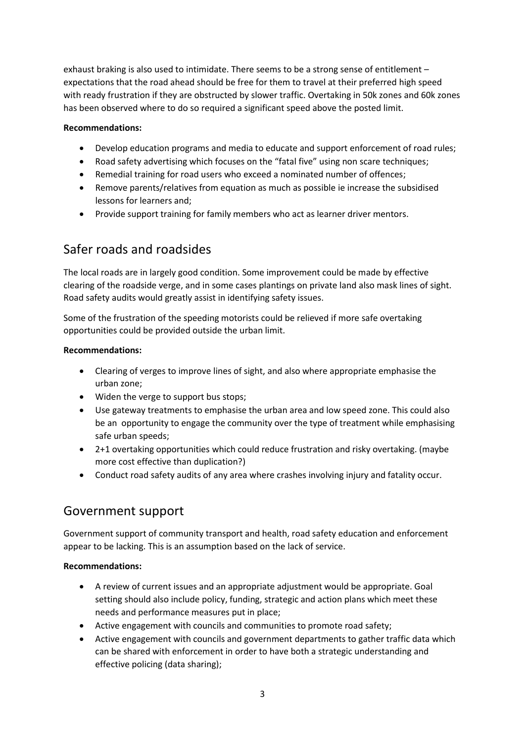exhaust braking is also used to intimidate. There seems to be a strong sense of entitlement – expectations that the road ahead should be free for them to travel at their preferred high speed with ready frustration if they are obstructed by slower traffic. Overtaking in 50k zones and 60k zones has been observed where to do so required a significant speed above the posted limit.

#### **Recommendations:**

- Develop education programs and media to educate and support enforcement of road rules;
- Road safety advertising which focuses on the "fatal five" using non scare techniques;
- Remedial training for road users who exceed a nominated number of offences;
- lessons for learners and; Remove parents/relatives from equation as much as possible ie increase the subsidised
- Provide support training for family members who act as learner driver mentors.

### Safer roads and roadsides

The local roads are in largely good condition. Some improvement could be made by effective clearing of the roadside verge, and in some cases plantings on private land also mask lines of sight. Road safety audits would greatly assist in identifying safety issues.

Some of the frustration of the speeding motorists could be relieved if more safe overtaking opportunities could be provided outside the urban limit.

#### **Recommendations:**

- Clearing of verges to improve lines of sight, and also where appropriate emphasise the urban zone;
- Widen the verge to support bus stops;
- be an opportunity to engage the community over the type of treatment while emphasising Use gateway treatments to emphasise the urban area and low speed zone. This could also safe urban speeds;
- 2+1 overtaking opportunities which could reduce frustration and risky overtaking. (maybe more cost effective than duplication?)
- Conduct road safety audits of any area where crashes involving injury and fatality occur.

### Government support

 Government support of community transport and health, road safety education and enforcement appear to be lacking. This is an assumption based on the lack of service.

#### **Recommendations:**

- A review of current issues and an appropriate adjustment would be appropriate. Goal setting should also include policy, funding, strategic and action plans which meet these needs and performance measures put in place;
- Active engagement with councils and communities to promote road safety;
- Active engagement with councils and government departments to gather traffic data which can be shared with enforcement in order to have both a strategic understanding and effective policing (data sharing);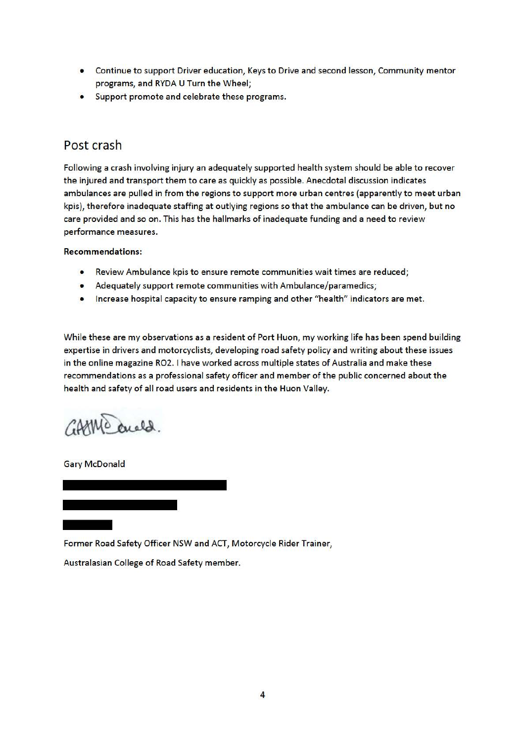- Continue to support Driver education, Keys to Drive and second lesson, Community mentor programs, and RYDA U Turn the Wheel;
- Support promote and celebrate these programs.

## Post crash

Following a crash involving injury an adequately supported health system should be able to recover the injured and transport them to care as quickly as possible. Anecdotal discussion indicates ambulances are pulled in from the regions to support more urban centres (apparently to meet urban kpis), therefore inadequate staffing at outlying regions so that the ambulance can be driven, but no care provided and so on. This has the hallmarks of inadequate funding and a need to review performance measures.

Recommendations:

- Review Ambulance kpis to ensure remote communities wait times are reduced;
- Adequately support remote communities with Ambulance/paramedics;
- Increase hospital capacity to ensure ramping and other "health" indicators are met.

While these are my observations as a resident of Port Huon, my working life has been spend building expertise in drivers and motorcyclists, developing road safety policy and writing about these issues in the online magazine R02. I have worked across multiple states of Australia and make these recommendations as a professional safety officer and member of the public concerned about the health and safety of all road users and residents in the Huon Valley.

GAMMO anald.

Gary McDonald

-- Former Road Safety Officer NSW and ACT, Motorcycle Rider Trainer,

Australasian College of Road Safety member.